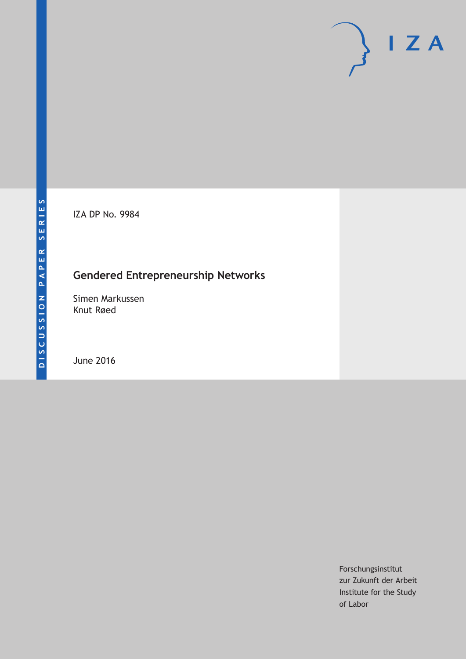IZA DP No. 9984

## **Gendered Entrepreneurship Networks**

Simen Markussen Knut Røed

June 2016

Forschungsinstitut zur Zukunft der Arbeit Institute for the Study of Labor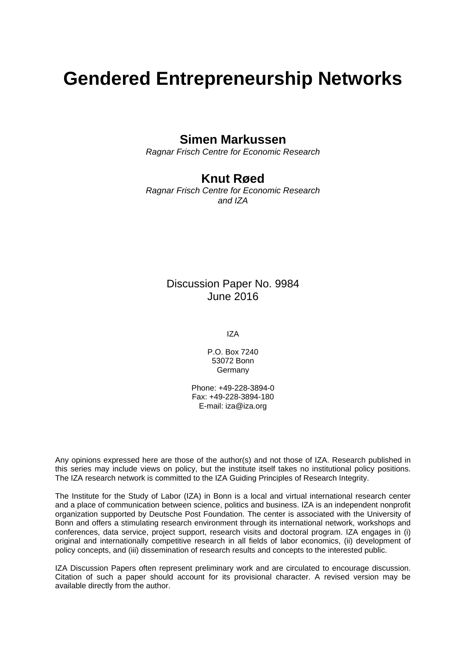# **Gendered Entrepreneurship Networks**

## **Simen Markussen**

*Ragnar Frisch Centre for Economic Research* 

## **Knut Røed**

*Ragnar Frisch Centre for Economic Research and IZA* 

## Discussion Paper No. 9984 June 2016

IZA

P.O. Box 7240 53072 Bonn **Germany** 

Phone: +49-228-3894-0 Fax: +49-228-3894-180 E-mail: iza@iza.org

Any opinions expressed here are those of the author(s) and not those of IZA. Research published in this series may include views on policy, but the institute itself takes no institutional policy positions. The IZA research network is committed to the IZA Guiding Principles of Research Integrity.

The Institute for the Study of Labor (IZA) in Bonn is a local and virtual international research center and a place of communication between science, politics and business. IZA is an independent nonprofit organization supported by Deutsche Post Foundation. The center is associated with the University of Bonn and offers a stimulating research environment through its international network, workshops and conferences, data service, project support, research visits and doctoral program. IZA engages in (i) original and internationally competitive research in all fields of labor economics, (ii) development of policy concepts, and (iii) dissemination of research results and concepts to the interested public.

IZA Discussion Papers often represent preliminary work and are circulated to encourage discussion. Citation of such a paper should account for its provisional character. A revised version may be available directly from the author.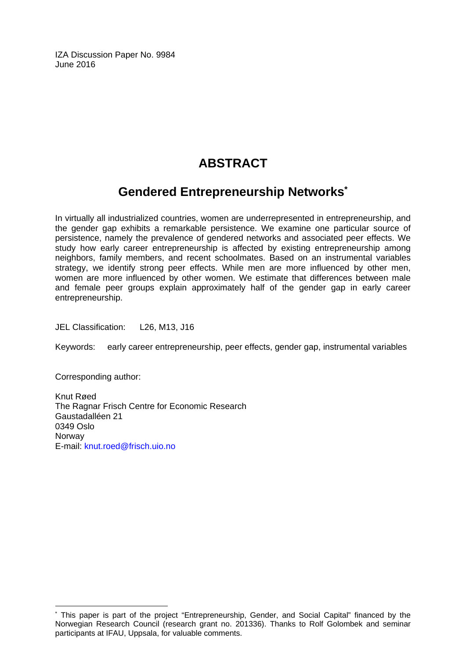IZA Discussion Paper No. 9984 June 2016

## **ABSTRACT**

## **Gendered Entrepreneurship Networks\***

In virtually all industrialized countries, women are underrepresented in entrepreneurship, and the gender gap exhibits a remarkable persistence. We examine one particular source of persistence, namely the prevalence of gendered networks and associated peer effects. We study how early career entrepreneurship is affected by existing entrepreneurship among neighbors, family members, and recent schoolmates. Based on an instrumental variables strategy, we identify strong peer effects. While men are more influenced by other men, women are more influenced by other women. We estimate that differences between male and female peer groups explain approximately half of the gender gap in early career entrepreneurship.

JEL Classification: L26, M13, J16

Keywords: early career entrepreneurship, peer effects, gender gap, instrumental variables

Corresponding author:

 $\overline{a}$ 

Knut Røed The Ragnar Frisch Centre for Economic Research Gaustadalléen 21 0349 Oslo Norway E-mail: knut.roed@frisch.uio.no

<sup>\*</sup> This paper is part of the project "Entrepreneurship, Gender, and Social Capital" financed by the Norwegian Research Council (research grant no. 201336). Thanks to Rolf Golombek and seminar participants at IFAU, Uppsala, for valuable comments.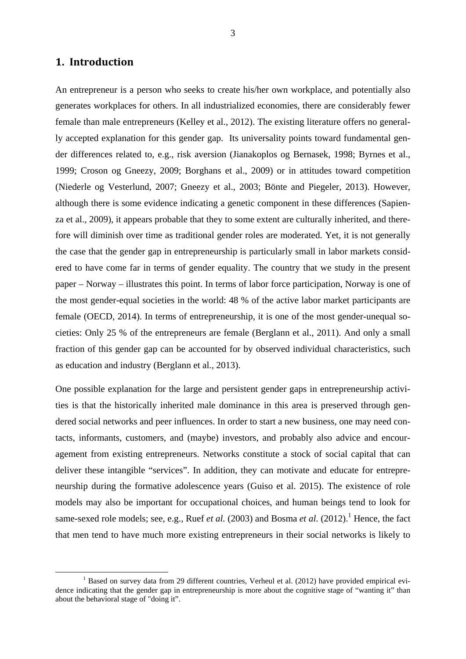#### **1. Introduction**

An entrepreneur is a person who seeks to create his/her own workplace, and potentially also generates workplaces for others. In all industrialized economies, there are considerably fewer female than male entrepreneurs (Kelley et al., 2012). The existing literature offers no generally accepted explanation for this gender gap. Its universality points toward fundamental gender differences related to, e.g., risk aversion (Jianakoplos og Bernasek, 1998; Byrnes et al., 1999; Croson og Gneezy, 2009; Borghans et al., 2009) or in attitudes toward competition (Niederle og Vesterlund, 2007; Gneezy et al., 2003; Bönte and Piegeler, 2013). However, although there is some evidence indicating a genetic component in these differences (Sapienza et al., 2009), it appears probable that they to some extent are culturally inherited, and therefore will diminish over time as traditional gender roles are moderated. Yet, it is not generally the case that the gender gap in entrepreneurship is particularly small in labor markets considered to have come far in terms of gender equality. The country that we study in the present paper – Norway – illustrates this point. In terms of labor force participation, Norway is one of the most gender-equal societies in the world: 48 % of the active labor market participants are female (OECD, 2014). In terms of entrepreneurship, it is one of the most gender-unequal societies: Only 25 % of the entrepreneurs are female (Berglann et al., 2011). And only a small fraction of this gender gap can be accounted for by observed individual characteristics, such as education and industry (Berglann et al., 2013).

One possible explanation for the large and persistent gender gaps in entrepreneurship activities is that the historically inherited male dominance in this area is preserved through gendered social networks and peer influences. In order to start a new business, one may need contacts, informants, customers, and (maybe) investors, and probably also advice and encouragement from existing entrepreneurs. Networks constitute a stock of social capital that can deliver these intangible "services". In addition, they can motivate and educate for entrepreneurship during the formative adolescence years (Guiso et al. 2015). The existence of role models may also be important for occupational choices, and human beings tend to look for same-sexed role models; see, e.g., Ruef *et al.* (2003) and Bosma *et al.* (2012).<sup>1</sup> Hence, the fact that men tend to have much more existing entrepreneurs in their social networks is likely to

 $\frac{1}{1}$  $<sup>1</sup>$  Based on survey data from 29 different countries, Verheul et al. (2012) have provided empirical evi-</sup> dence indicating that the gender gap in entrepreneurship is more about the cognitive stage of "wanting it" than about the behavioral stage of "doing it".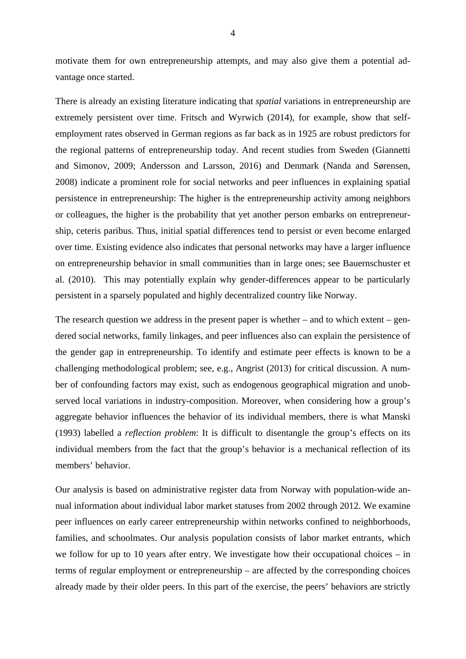motivate them for own entrepreneurship attempts, and may also give them a potential advantage once started.

There is already an existing literature indicating that *spatial* variations in entrepreneurship are extremely persistent over time. Fritsch and Wyrwich (2014), for example, show that selfemployment rates observed in German regions as far back as in 1925 are robust predictors for the regional patterns of entrepreneurship today. And recent studies from Sweden (Giannetti and Simonov, 2009; Andersson and Larsson, 2016) and Denmark (Nanda and Sørensen, 2008) indicate a prominent role for social networks and peer influences in explaining spatial persistence in entrepreneurship: The higher is the entrepreneurship activity among neighbors or colleagues, the higher is the probability that yet another person embarks on entrepreneurship, ceteris paribus. Thus, initial spatial differences tend to persist or even become enlarged over time. Existing evidence also indicates that personal networks may have a larger influence on entrepreneurship behavior in small communities than in large ones; see Bauernschuster et al. (2010). This may potentially explain why gender-differences appear to be particularly persistent in a sparsely populated and highly decentralized country like Norway.

The research question we address in the present paper is whether – and to which extent – gendered social networks, family linkages, and peer influences also can explain the persistence of the gender gap in entrepreneurship. To identify and estimate peer effects is known to be a challenging methodological problem; see, e.g., Angrist (2013) for critical discussion. A number of confounding factors may exist, such as endogenous geographical migration and unobserved local variations in industry-composition. Moreover, when considering how a group's aggregate behavior influences the behavior of its individual members, there is what Manski (1993) labelled a *reflection problem*: It is difficult to disentangle the group's effects on its individual members from the fact that the group's behavior is a mechanical reflection of its members' behavior.

Our analysis is based on administrative register data from Norway with population-wide annual information about individual labor market statuses from 2002 through 2012. We examine peer influences on early career entrepreneurship within networks confined to neighborhoods, families, and schoolmates. Our analysis population consists of labor market entrants, which we follow for up to 10 years after entry. We investigate how their occupational choices – in terms of regular employment or entrepreneurship – are affected by the corresponding choices already made by their older peers. In this part of the exercise, the peers' behaviors are strictly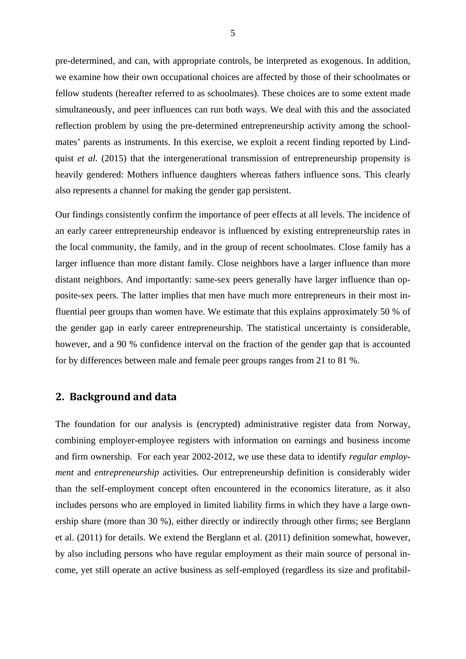pre-determined, and can, with appropriate controls, be interpreted as exogenous. In addition, we examine how their own occupational choices are affected by those of their schoolmates or fellow students (hereafter referred to as schoolmates). These choices are to some extent made simultaneously, and peer influences can run both ways. We deal with this and the associated reflection problem by using the pre-determined entrepreneurship activity among the schoolmates' parents as instruments. In this exercise, we exploit a recent finding reported by Lindquist *et al.* (2015) that the intergenerational transmission of entrepreneurship propensity is heavily gendered: Mothers influence daughters whereas fathers influence sons. This clearly also represents a channel for making the gender gap persistent.

Our findings consistently confirm the importance of peer effects at all levels. The incidence of an early career entrepreneurship endeavor is influenced by existing entrepreneurship rates in the local community, the family, and in the group of recent schoolmates. Close family has a larger influence than more distant family. Close neighbors have a larger influence than more distant neighbors. And importantly: same-sex peers generally have larger influence than opposite-sex peers. The latter implies that men have much more entrepreneurs in their most influential peer groups than women have. We estimate that this explains approximately 50 % of the gender gap in early career entrepreneurship. The statistical uncertainty is considerable, however, and a 90 % confidence interval on the fraction of the gender gap that is accounted for by differences between male and female peer groups ranges from 21 to 81 %.

#### **2. Background and data**

The foundation for our analysis is (encrypted) administrative register data from Norway, combining employer-employee registers with information on earnings and business income and firm ownership. For each year 2002-2012, we use these data to identify *regular employment* and *entrepreneurship* activities. Our entrepreneurship definition is considerably wider than the self-employment concept often encountered in the economics literature, as it also includes persons who are employed in limited liability firms in which they have a large ownership share (more than 30 %), either directly or indirectly through other firms; see Berglann et al. (2011) for details. We extend the Berglann et al. (2011) definition somewhat, however, by also including persons who have regular employment as their main source of personal income, yet still operate an active business as self-employed (regardless its size and profitabil-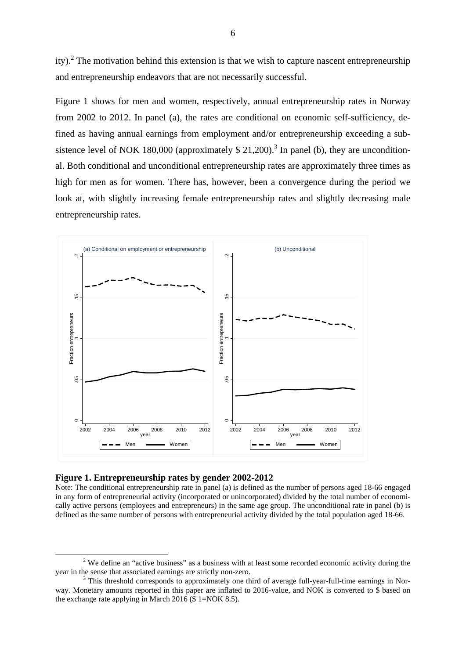ity).<sup>2</sup> The motivation behind this extension is that we wish to capture nascent entrepreneurship and entrepreneurship endeavors that are not necessarily successful.

Figure 1 shows for men and women, respectively, annual entrepreneurship rates in Norway from 2002 to 2012. In panel (a), the rates are conditional on economic self-sufficiency, defined as having annual earnings from employment and/or entrepreneurship exceeding a subsistence level of NOK 180,000 (approximately  $$21,200$ ).<sup>3</sup> In panel (b), they are unconditional. Both conditional and unconditional entrepreneurship rates are approximately three times as high for men as for women. There has, however, been a convergence during the period we look at, with slightly increasing female entrepreneurship rates and slightly decreasing male entrepreneurship rates.



#### **Figure 1. Entrepreneurship rates by gender 2002-2012**

Note: The conditional entrepreneurship rate in panel (a) is defined as the number of persons aged 18-66 engaged in any form of entrepreneurial activity (incorporated or unincorporated) divided by the total number of economically active persons (employees and entrepreneurs) in the same age group. The unconditional rate in panel (b) is defined as the same number of persons with entrepreneurial activity divided by the total population aged 18-66.

 $\frac{1}{2}$  $2$  We define an "active business" as a business with at least some recorded economic activity during the year in the sense that associated earnings are strictly non-zero. 3

This threshold corresponds to approximately one third of average full-year-full-time earnings in Norway. Monetary amounts reported in this paper are inflated to 2016-value, and NOK is converted to \$ based on the exchange rate applying in March 2016 (\$ 1=NOK 8.5).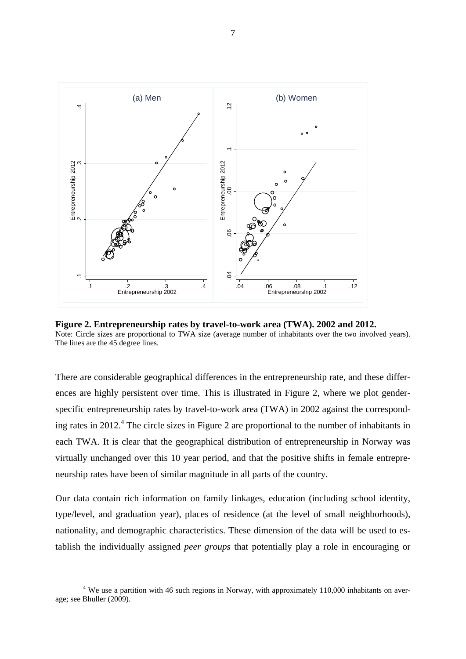

**Figure 2. Entrepreneurship rates by travel-to-work area (TWA). 2002 and 2012.**  Note: Circle sizes are proportional to TWA size (average number of inhabitants over the two involved years). The lines are the 45 degree lines.

There are considerable geographical differences in the entrepreneurship rate, and these differences are highly persistent over time. This is illustrated in Figure 2, where we plot genderspecific entrepreneurship rates by travel-to-work area (TWA) in 2002 against the corresponding rates in 2012.<sup>4</sup> The circle sizes in Figure 2 are proportional to the number of inhabitants in each TWA. It is clear that the geographical distribution of entrepreneurship in Norway was virtually unchanged over this 10 year period, and that the positive shifts in female entrepreneurship rates have been of similar magnitude in all parts of the country.

Our data contain rich information on family linkages, education (including school identity, type/level, and graduation year), places of residence (at the level of small neighborhoods), nationality, and demographic characteristics. These dimension of the data will be used to establish the individually assigned *peer groups* that potentially play a role in encouraging or

 $\frac{1}{4}$ <sup>4</sup> We use a partition with 46 such regions in Norway, with approximately 110,000 inhabitants on average: see Bhuller  $(2009)$ .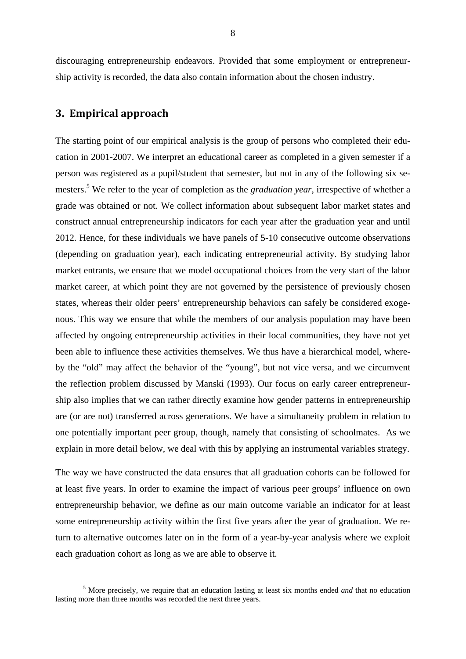discouraging entrepreneurship endeavors. Provided that some employment or entrepreneurship activity is recorded, the data also contain information about the chosen industry.

#### **3. Empirical approach**

The starting point of our empirical analysis is the group of persons who completed their education in 2001-2007. We interpret an educational career as completed in a given semester if a person was registered as a pupil/student that semester, but not in any of the following six semesters.<sup>5</sup> We refer to the year of completion as the *graduation year*, irrespective of whether a grade was obtained or not. We collect information about subsequent labor market states and construct annual entrepreneurship indicators for each year after the graduation year and until 2012. Hence, for these individuals we have panels of 5-10 consecutive outcome observations (depending on graduation year), each indicating entrepreneurial activity. By studying labor market entrants, we ensure that we model occupational choices from the very start of the labor market career, at which point they are not governed by the persistence of previously chosen states, whereas their older peers' entrepreneurship behaviors can safely be considered exogenous. This way we ensure that while the members of our analysis population may have been affected by ongoing entrepreneurship activities in their local communities, they have not yet been able to influence these activities themselves. We thus have a hierarchical model, whereby the "old" may affect the behavior of the "young", but not vice versa, and we circumvent the reflection problem discussed by Manski (1993). Our focus on early career entrepreneurship also implies that we can rather directly examine how gender patterns in entrepreneurship are (or are not) transferred across generations. We have a simultaneity problem in relation to one potentially important peer group, though, namely that consisting of schoolmates. As we explain in more detail below, we deal with this by applying an instrumental variables strategy.

The way we have constructed the data ensures that all graduation cohorts can be followed for at least five years. In order to examine the impact of various peer groups' influence on own entrepreneurship behavior, we define as our main outcome variable an indicator for at least some entrepreneurship activity within the first five years after the year of graduation. We return to alternative outcomes later on in the form of a year-by-year analysis where we exploit each graduation cohort as long as we are able to observe it.

 $rac{1}{5}$  More precisely, we require that an education lasting at least six months ended *and* that no education lasting more than three months was recorded the next three years.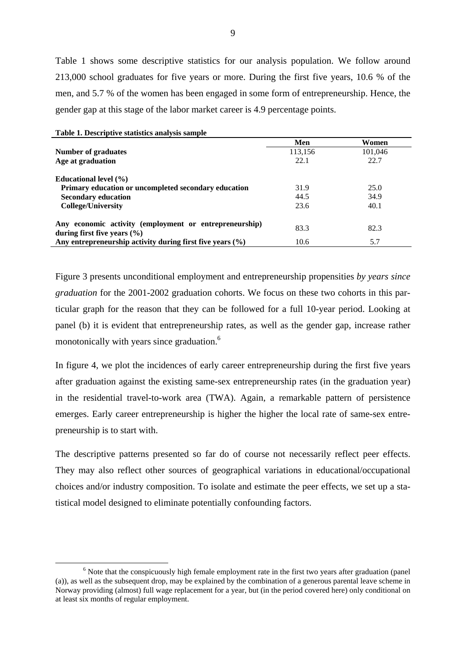Table 1 shows some descriptive statistics for our analysis population. We follow around 213,000 school graduates for five years or more. During the first five years, 10.6 % of the men, and 5.7 % of the women has been engaged in some form of entrepreneurship. Hence, the gender gap at this stage of the labor market career is 4.9 percentage points.

| Table 1. Descriptive statistics analysis sample                                           |         |         |
|-------------------------------------------------------------------------------------------|---------|---------|
|                                                                                           | Men     | Women   |
| Number of graduates                                                                       | 113,156 | 101,046 |
| Age at graduation                                                                         | 22.1    | 22.7    |
| <b>Educational level</b> (%)                                                              |         |         |
| Primary education or uncompleted secondary education                                      | 31.9    | 25.0    |
| <b>Secondary education</b>                                                                | 44.5    | 34.9    |
| <b>College/University</b>                                                                 | 23.6    | 40.1    |
| Any economic activity (employment or entrepreneurship)<br>during first five years $(\% )$ | 83.3    | 82.3    |
| Any entrepreneurship activity during first five years $(\% )$                             | 10.6    | 5.7     |

Figure 3 presents unconditional employment and entrepreneurship propensities *by years since graduation* for the 2001-2002 graduation cohorts. We focus on these two cohorts in this particular graph for the reason that they can be followed for a full 10-year period. Looking at panel (b) it is evident that entrepreneurship rates, as well as the gender gap, increase rather monotonically with years since graduation.<sup>6</sup>

In figure 4, we plot the incidences of early career entrepreneurship during the first five years after graduation against the existing same-sex entrepreneurship rates (in the graduation year) in the residential travel-to-work area (TWA). Again, a remarkable pattern of persistence emerges. Early career entrepreneurship is higher the higher the local rate of same-sex entrepreneurship is to start with.

The descriptive patterns presented so far do of course not necessarily reflect peer effects. They may also reflect other sources of geographical variations in educational/occupational choices and/or industry composition. To isolate and estimate the peer effects, we set up a statistical model designed to eliminate potentially confounding factors.

 $\begin{array}{c|c}\n\hline\n\text{6}\n\end{array}$  $6$  Note that the conspicuously high female employment rate in the first two years after graduation (panel) (a)), as well as the subsequent drop, may be explained by the combination of a generous parental leave scheme in Norway providing (almost) full wage replacement for a year, but (in the period covered here) only conditional on at least six months of regular employment.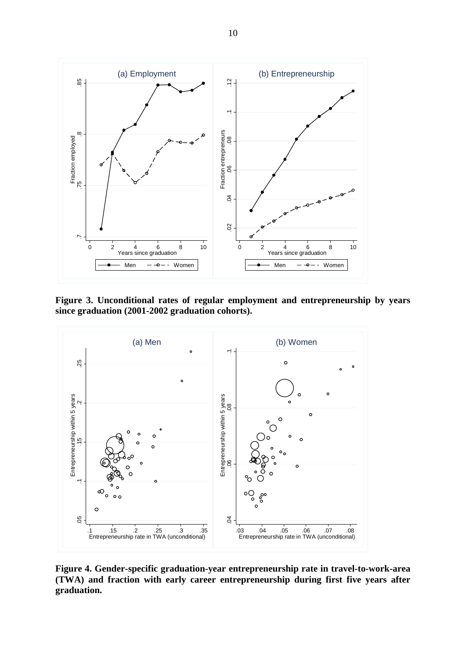

**Figure 3. Unconditional rates of regular employment and entrepreneurship by years since graduation (2001-2002 graduation cohorts).** 



**Figure 4. Gender-specific graduation-year entrepreneurship rate in travel-to-work-area (TWA) and fraction with early career entrepreneurship during first five years after**  graduation.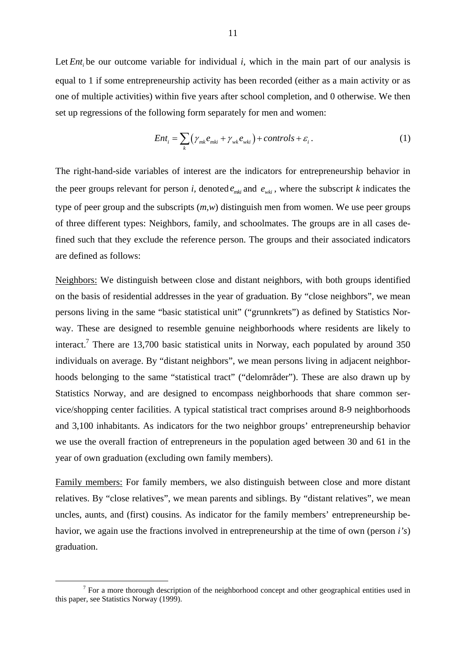Let *Ent*, be our outcome variable for individual *i*, which in the main part of our analysis is equal to 1 if some entrepreneurship activity has been recorded (either as a main activity or as one of multiple activities) within five years after school completion, and 0 otherwise. We then set up regressions of the following form separately for men and women:

$$
Ent_i = \sum_{k} (\gamma_{mk} e_{mki} + \gamma_{wk} e_{wki}) + controls + \varepsilon_i.
$$
 (1)

The right-hand-side variables of interest are the indicators for entrepreneurship behavior in the peer groups relevant for person *i*, denoted  $e_{mki}$  and  $e_{wki}$ , where the subscript *k* indicates the type of peer group and the subscripts (*m,w*) distinguish men from women. We use peer groups of three different types: Neighbors, family, and schoolmates. The groups are in all cases defined such that they exclude the reference person. The groups and their associated indicators are defined as follows:

Neighbors: We distinguish between close and distant neighbors, with both groups identified on the basis of residential addresses in the year of graduation. By "close neighbors", we mean persons living in the same "basic statistical unit" ("grunnkrets") as defined by Statistics Norway. These are designed to resemble genuine neighborhoods where residents are likely to interact.<sup>7</sup> There are 13,700 basic statistical units in Norway, each populated by around 350 individuals on average. By "distant neighbors", we mean persons living in adjacent neighborhoods belonging to the same "statistical tract" ("delområder"). These are also drawn up by Statistics Norway, and are designed to encompass neighborhoods that share common service/shopping center facilities. A typical statistical tract comprises around 8-9 neighborhoods and 3,100 inhabitants. As indicators for the two neighbor groups' entrepreneurship behavior we use the overall fraction of entrepreneurs in the population aged between 30 and 61 in the year of own graduation (excluding own family members).

Family members: For family members, we also distinguish between close and more distant relatives. By "close relatives", we mean parents and siblings. By "distant relatives", we mean uncles, aunts, and (first) cousins. As indicator for the family members' entrepreneurship behavior, we again use the fractions involved in entrepreneurship at the time of own (person *i's*) graduation.

 $\begin{array}{c|c}\n\hline\n\end{array}$ <sup>7</sup> For a more thorough description of the neighborhood concept and other geographical entities used in this paper, see Statistics Norway (1999).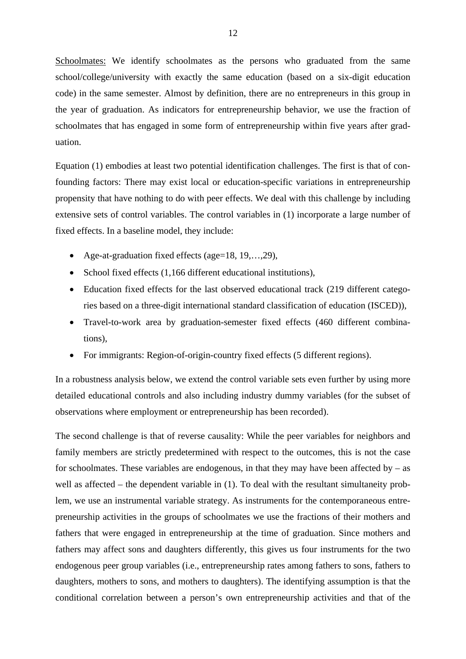Schoolmates: We identify schoolmates as the persons who graduated from the same school/college/university with exactly the same education (based on a six-digit education code) in the same semester. Almost by definition, there are no entrepreneurs in this group in the year of graduation. As indicators for entrepreneurship behavior, we use the fraction of schoolmates that has engaged in some form of entrepreneurship within five years after graduation.

Equation (1) embodies at least two potential identification challenges. The first is that of confounding factors: There may exist local or education-specific variations in entrepreneurship propensity that have nothing to do with peer effects. We deal with this challenge by including extensive sets of control variables. The control variables in (1) incorporate a large number of fixed effects. In a baseline model, they include:

- Age-at-graduation fixed effects (age=18, 19,…,29),
- School fixed effects (1.166 different educational institutions),
- Education fixed effects for the last observed educational track (219 different categories based on a three-digit international standard classification of education (ISCED)),
- Travel-to-work area by graduation-semester fixed effects (460 different combinations),
- For immigrants: Region-of-origin-country fixed effects (5 different regions).

In a robustness analysis below, we extend the control variable sets even further by using more detailed educational controls and also including industry dummy variables (for the subset of observations where employment or entrepreneurship has been recorded).

The second challenge is that of reverse causality: While the peer variables for neighbors and family members are strictly predetermined with respect to the outcomes, this is not the case for schoolmates. These variables are endogenous, in that they may have been affected by  $-$  as well as affected – the dependent variable in (1). To deal with the resultant simultaneity problem, we use an instrumental variable strategy. As instruments for the contemporaneous entrepreneurship activities in the groups of schoolmates we use the fractions of their mothers and fathers that were engaged in entrepreneurship at the time of graduation. Since mothers and fathers may affect sons and daughters differently, this gives us four instruments for the two endogenous peer group variables (i.e., entrepreneurship rates among fathers to sons, fathers to daughters, mothers to sons, and mothers to daughters). The identifying assumption is that the conditional correlation between a person's own entrepreneurship activities and that of the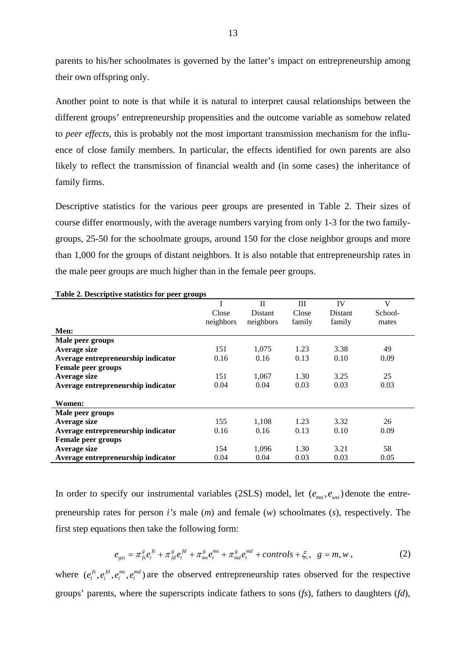parents to his/her schoolmates is governed by the latter's impact on entrepreneurship among their own offspring only.

Another point to note is that while it is natural to interpret causal relationships between the different groups' entrepreneurship propensities and the outcome variable as somehow related to *peer effects*, this is probably not the most important transmission mechanism for the influence of close family members. In particular, the effects identified for own parents are also likely to reflect the transmission of financial wealth and (in some cases) the inheritance of family firms.

Descriptive statistics for the various peer groups are presented in Table 2. Their sizes of course differ enormously, with the average numbers varying from only 1-3 for the two familygroups, 25-50 for the schoolmate groups, around 150 for the close neighbor groups and more than 1,000 for the groups of distant neighbors. It is also notable that entrepreneurship rates in the male peer groups are much higher than in the female peer groups.

| -                                  |           | $\mathbf{I}$   | Ш      | IV      | V       |
|------------------------------------|-----------|----------------|--------|---------|---------|
|                                    | Close     | <b>Distant</b> | Close  | Distant | School- |
|                                    | neighbors | neighbors      | family | family  | mates   |
| Men:                               |           |                |        |         |         |
| Male peer groups                   |           |                |        |         |         |
| Average size                       | 151       | 1,075          | 1.23   | 3.38    | 49      |
| Average entrepreneurship indicator | 0.16      | 0.16           | 0.13   | 0.10    | 0.09    |
| <b>Female peer groups</b>          |           |                |        |         |         |
| Average size                       | 151       | 1,067          | 1.30   | 3.25    | 25      |
| Average entrepreneurship indicator | 0.04      | 0.04           | 0.03   | 0.03    | 0.03    |
|                                    |           |                |        |         |         |
| Women:                             |           |                |        |         |         |
| Male peer groups                   |           |                |        |         |         |
| Average size                       | 155       | 1.108          | 1.23   | 3.32    | 26      |
| Average entrepreneurship indicator | 0.16      | 0.16           | 0.13   | 0.10    | 0.09    |
| <b>Female peer groups</b>          |           |                |        |         |         |
| Average size                       | 154       | 1.096          | 1.30   | 3.21    | 58      |
| Average entrepreneurship indicator | 0.04      | 0.04           | 0.03   | 0.03    | 0.05    |

**Table 2. Descriptive statistics for peer groups** 

In order to specify our instrumental variables (2SLS) model, let  $(e_{msi}, e_{wsi})$  denote the entrepreneurship rates for person *i's* male (*m*) and female (*w*) schoolmates (*s*), respectively. The first step equations then take the following form:

$$
e_{gsi} = \pi_{fs}^g e_i^{fs} + \pi_{fd}^g e_i^{fd} + \pi_{ms}^g e_i^{ms} + \pi_{md}^g e_i^{md} + controls + \xi_i, \ \ g = m, w \,, \tag{2}
$$

where  $(e_i^{fs}, e_i^{fd}, e_i^{ms}, e_i^{md})$  are the observed entrepreneurship rates observed for the respective groups' parents, where the superscripts indicate fathers to sons (*fs*), fathers to daughters (*fd*),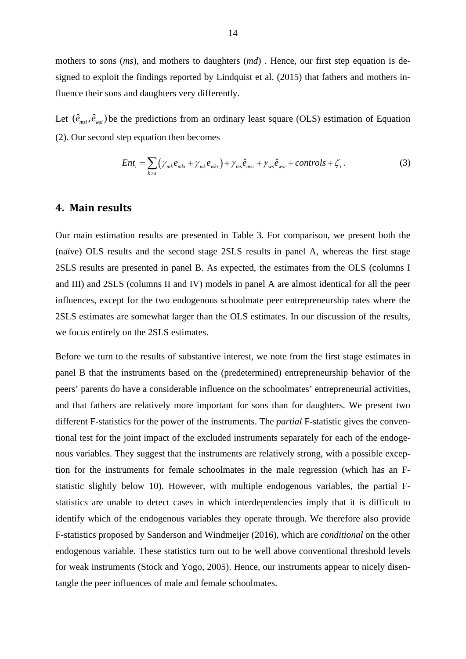mothers to sons (*ms*), and mothers to daughters (*md*). Hence, our first step equation is designed to exploit the findings reported by Lindquist et al. (2015) that fathers and mothers influence their sons and daughters very differently.

Let  $(\hat{e}_{msi}, \hat{e}_{wsi})$  be the predictions from an ordinary least square (OLS) estimation of Equation (2). Our second step equation then becomes

$$
Ent_i = \sum_{k \neq s} \left( \gamma_{mk} e_{mki} + \gamma_{wk} e_{wki} \right) + \gamma_{ms} \hat{e}_{msi} + \gamma_{ws} \hat{e}_{wsi} + controls + \zeta_i. \tag{3}
$$

#### **4. Main results**

Our main estimation results are presented in Table 3. For comparison, we present both the (naïve) OLS results and the second stage 2SLS results in panel A, whereas the first stage 2SLS results are presented in panel B. As expected, the estimates from the OLS (columns I and III) and 2SLS (columns II and IV) models in panel A are almost identical for all the peer influences, except for the two endogenous schoolmate peer entrepreneurship rates where the 2SLS estimates are somewhat larger than the OLS estimates. In our discussion of the results, we focus entirely on the 2SLS estimates.

Before we turn to the results of substantive interest, we note from the first stage estimates in panel B that the instruments based on the (predetermined) entrepreneurship behavior of the peers' parents do have a considerable influence on the schoolmates' entrepreneurial activities, and that fathers are relatively more important for sons than for daughters. We present two different F-statistics for the power of the instruments. The *partial* F-statistic gives the conventional test for the joint impact of the excluded instruments separately for each of the endogenous variables. They suggest that the instruments are relatively strong, with a possible exception for the instruments for female schoolmates in the male regression (which has an Fstatistic slightly below 10). However, with multiple endogenous variables, the partial Fstatistics are unable to detect cases in which interdependencies imply that it is difficult to identify which of the endogenous variables they operate through. We therefore also provide F-statistics proposed by Sanderson and Windmeijer (2016), which are *conditional* on the other endogenous variable. These statistics turn out to be well above conventional threshold levels for weak instruments (Stock and Yogo, 2005). Hence, our instruments appear to nicely disentangle the peer influences of male and female schoolmates.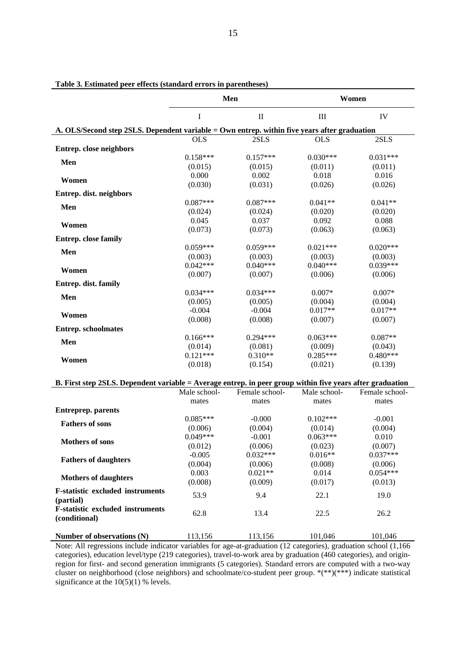| I<br>$\mathbf{I}$<br>$\rm III$<br>IV<br>A. OLS/Second step 2SLS. Dependent variable = Own entrep. within five years after graduation<br>2SLS<br><b>OLS</b><br>2SLS<br><b>OLS</b><br>Entrep. close neighbors<br>$0.158***$<br>$0.157***$<br>$0.030***$<br>$0.031***$<br>Men<br>(0.015)<br>(0.015)<br>(0.011)<br>(0.011)<br>0.000<br>0.002<br>0.018<br>0.016<br>Women<br>(0.030)<br>(0.031)<br>(0.026)<br>(0.026)<br>Entrep. dist. neighbors<br>$0.087***$<br>$0.087***$<br>$0.041**$<br>$0.041**$<br>Men<br>(0.024)<br>(0.024)<br>(0.020)<br>(0.020)<br>0.045<br>0.092<br>0.088<br>0.037<br>Women<br>(0.073)<br>(0.073)<br>(0.063)<br>(0.063)<br><b>Entrep.</b> close family<br>$0.059***$<br>$0.059***$<br>$0.021***$<br>$0.020***$<br>Men<br>(0.003)<br>(0.003)<br>(0.003)<br>(0.003)<br>$0.042***$<br>$0.040***$<br>$0.040***$<br>$0.039***$<br>Women<br>(0.007)<br>(0.007)<br>(0.006)<br>(0.006)<br>Entrep. dist. family<br>$0.034***$<br>$0.034***$<br>$0.007*$<br>$0.007*$<br>Men<br>(0.005)<br>(0.005)<br>(0.004)<br>(0.004)<br>$0.017**$<br>$0.017**$<br>$-0.004$<br>$-0.004$<br>Women<br>(0.008)<br>(0.008)<br>(0.007)<br>(0.007)<br><b>Entrep.</b> schoolmates<br>$0.166***$<br>$0.294***$<br>$0.063***$<br>$0.087**$<br>Men<br>(0.009)<br>(0.014)<br>(0.081)<br>(0.043)<br>$0.121***$<br>$0.310**$<br>$0.285***$<br>$0.480***$<br>Women<br>(0.018)<br>(0.154)<br>(0.021)<br>(0.139)<br>B. First step 2SLS. Dependent variable = Average entrep. in peer group within five years after graduation<br>Male school-<br>Female school-<br>Male school-<br>Female school-<br>mates<br>mates<br>mates<br>mates<br><b>Entreprep. parents</b><br>$0.085***$<br>$-0.000$<br>$0.102***$<br>$-0.001$<br><b>Fathers of sons</b><br>(0.006)<br>(0.004)<br>(0.014)<br>(0.004)<br>$0.049***$<br>$0.063***$<br>$-0.001$<br>0.010 | Women |  |  |  |  |  |  |
|----------------------------------------------------------------------------------------------------------------------------------------------------------------------------------------------------------------------------------------------------------------------------------------------------------------------------------------------------------------------------------------------------------------------------------------------------------------------------------------------------------------------------------------------------------------------------------------------------------------------------------------------------------------------------------------------------------------------------------------------------------------------------------------------------------------------------------------------------------------------------------------------------------------------------------------------------------------------------------------------------------------------------------------------------------------------------------------------------------------------------------------------------------------------------------------------------------------------------------------------------------------------------------------------------------------------------------------------------------------------------------------------------------------------------------------------------------------------------------------------------------------------------------------------------------------------------------------------------------------------------------------------------------------------------------------------------------------------------------------------------------------------------------------------------------------------------|-------|--|--|--|--|--|--|
|                                                                                                                                                                                                                                                                                                                                                                                                                                                                                                                                                                                                                                                                                                                                                                                                                                                                                                                                                                                                                                                                                                                                                                                                                                                                                                                                                                                                                                                                                                                                                                                                                                                                                                                                                                                                                            |       |  |  |  |  |  |  |
|                                                                                                                                                                                                                                                                                                                                                                                                                                                                                                                                                                                                                                                                                                                                                                                                                                                                                                                                                                                                                                                                                                                                                                                                                                                                                                                                                                                                                                                                                                                                                                                                                                                                                                                                                                                                                            |       |  |  |  |  |  |  |
|                                                                                                                                                                                                                                                                                                                                                                                                                                                                                                                                                                                                                                                                                                                                                                                                                                                                                                                                                                                                                                                                                                                                                                                                                                                                                                                                                                                                                                                                                                                                                                                                                                                                                                                                                                                                                            |       |  |  |  |  |  |  |
|                                                                                                                                                                                                                                                                                                                                                                                                                                                                                                                                                                                                                                                                                                                                                                                                                                                                                                                                                                                                                                                                                                                                                                                                                                                                                                                                                                                                                                                                                                                                                                                                                                                                                                                                                                                                                            |       |  |  |  |  |  |  |
|                                                                                                                                                                                                                                                                                                                                                                                                                                                                                                                                                                                                                                                                                                                                                                                                                                                                                                                                                                                                                                                                                                                                                                                                                                                                                                                                                                                                                                                                                                                                                                                                                                                                                                                                                                                                                            |       |  |  |  |  |  |  |
|                                                                                                                                                                                                                                                                                                                                                                                                                                                                                                                                                                                                                                                                                                                                                                                                                                                                                                                                                                                                                                                                                                                                                                                                                                                                                                                                                                                                                                                                                                                                                                                                                                                                                                                                                                                                                            |       |  |  |  |  |  |  |
|                                                                                                                                                                                                                                                                                                                                                                                                                                                                                                                                                                                                                                                                                                                                                                                                                                                                                                                                                                                                                                                                                                                                                                                                                                                                                                                                                                                                                                                                                                                                                                                                                                                                                                                                                                                                                            |       |  |  |  |  |  |  |
|                                                                                                                                                                                                                                                                                                                                                                                                                                                                                                                                                                                                                                                                                                                                                                                                                                                                                                                                                                                                                                                                                                                                                                                                                                                                                                                                                                                                                                                                                                                                                                                                                                                                                                                                                                                                                            |       |  |  |  |  |  |  |
|                                                                                                                                                                                                                                                                                                                                                                                                                                                                                                                                                                                                                                                                                                                                                                                                                                                                                                                                                                                                                                                                                                                                                                                                                                                                                                                                                                                                                                                                                                                                                                                                                                                                                                                                                                                                                            |       |  |  |  |  |  |  |
|                                                                                                                                                                                                                                                                                                                                                                                                                                                                                                                                                                                                                                                                                                                                                                                                                                                                                                                                                                                                                                                                                                                                                                                                                                                                                                                                                                                                                                                                                                                                                                                                                                                                                                                                                                                                                            |       |  |  |  |  |  |  |
|                                                                                                                                                                                                                                                                                                                                                                                                                                                                                                                                                                                                                                                                                                                                                                                                                                                                                                                                                                                                                                                                                                                                                                                                                                                                                                                                                                                                                                                                                                                                                                                                                                                                                                                                                                                                                            |       |  |  |  |  |  |  |
|                                                                                                                                                                                                                                                                                                                                                                                                                                                                                                                                                                                                                                                                                                                                                                                                                                                                                                                                                                                                                                                                                                                                                                                                                                                                                                                                                                                                                                                                                                                                                                                                                                                                                                                                                                                                                            |       |  |  |  |  |  |  |
|                                                                                                                                                                                                                                                                                                                                                                                                                                                                                                                                                                                                                                                                                                                                                                                                                                                                                                                                                                                                                                                                                                                                                                                                                                                                                                                                                                                                                                                                                                                                                                                                                                                                                                                                                                                                                            |       |  |  |  |  |  |  |
|                                                                                                                                                                                                                                                                                                                                                                                                                                                                                                                                                                                                                                                                                                                                                                                                                                                                                                                                                                                                                                                                                                                                                                                                                                                                                                                                                                                                                                                                                                                                                                                                                                                                                                                                                                                                                            |       |  |  |  |  |  |  |
|                                                                                                                                                                                                                                                                                                                                                                                                                                                                                                                                                                                                                                                                                                                                                                                                                                                                                                                                                                                                                                                                                                                                                                                                                                                                                                                                                                                                                                                                                                                                                                                                                                                                                                                                                                                                                            |       |  |  |  |  |  |  |
|                                                                                                                                                                                                                                                                                                                                                                                                                                                                                                                                                                                                                                                                                                                                                                                                                                                                                                                                                                                                                                                                                                                                                                                                                                                                                                                                                                                                                                                                                                                                                                                                                                                                                                                                                                                                                            |       |  |  |  |  |  |  |
|                                                                                                                                                                                                                                                                                                                                                                                                                                                                                                                                                                                                                                                                                                                                                                                                                                                                                                                                                                                                                                                                                                                                                                                                                                                                                                                                                                                                                                                                                                                                                                                                                                                                                                                                                                                                                            |       |  |  |  |  |  |  |
|                                                                                                                                                                                                                                                                                                                                                                                                                                                                                                                                                                                                                                                                                                                                                                                                                                                                                                                                                                                                                                                                                                                                                                                                                                                                                                                                                                                                                                                                                                                                                                                                                                                                                                                                                                                                                            |       |  |  |  |  |  |  |
|                                                                                                                                                                                                                                                                                                                                                                                                                                                                                                                                                                                                                                                                                                                                                                                                                                                                                                                                                                                                                                                                                                                                                                                                                                                                                                                                                                                                                                                                                                                                                                                                                                                                                                                                                                                                                            |       |  |  |  |  |  |  |
|                                                                                                                                                                                                                                                                                                                                                                                                                                                                                                                                                                                                                                                                                                                                                                                                                                                                                                                                                                                                                                                                                                                                                                                                                                                                                                                                                                                                                                                                                                                                                                                                                                                                                                                                                                                                                            |       |  |  |  |  |  |  |
|                                                                                                                                                                                                                                                                                                                                                                                                                                                                                                                                                                                                                                                                                                                                                                                                                                                                                                                                                                                                                                                                                                                                                                                                                                                                                                                                                                                                                                                                                                                                                                                                                                                                                                                                                                                                                            |       |  |  |  |  |  |  |
|                                                                                                                                                                                                                                                                                                                                                                                                                                                                                                                                                                                                                                                                                                                                                                                                                                                                                                                                                                                                                                                                                                                                                                                                                                                                                                                                                                                                                                                                                                                                                                                                                                                                                                                                                                                                                            |       |  |  |  |  |  |  |
|                                                                                                                                                                                                                                                                                                                                                                                                                                                                                                                                                                                                                                                                                                                                                                                                                                                                                                                                                                                                                                                                                                                                                                                                                                                                                                                                                                                                                                                                                                                                                                                                                                                                                                                                                                                                                            |       |  |  |  |  |  |  |
|                                                                                                                                                                                                                                                                                                                                                                                                                                                                                                                                                                                                                                                                                                                                                                                                                                                                                                                                                                                                                                                                                                                                                                                                                                                                                                                                                                                                                                                                                                                                                                                                                                                                                                                                                                                                                            |       |  |  |  |  |  |  |
|                                                                                                                                                                                                                                                                                                                                                                                                                                                                                                                                                                                                                                                                                                                                                                                                                                                                                                                                                                                                                                                                                                                                                                                                                                                                                                                                                                                                                                                                                                                                                                                                                                                                                                                                                                                                                            |       |  |  |  |  |  |  |
|                                                                                                                                                                                                                                                                                                                                                                                                                                                                                                                                                                                                                                                                                                                                                                                                                                                                                                                                                                                                                                                                                                                                                                                                                                                                                                                                                                                                                                                                                                                                                                                                                                                                                                                                                                                                                            |       |  |  |  |  |  |  |
|                                                                                                                                                                                                                                                                                                                                                                                                                                                                                                                                                                                                                                                                                                                                                                                                                                                                                                                                                                                                                                                                                                                                                                                                                                                                                                                                                                                                                                                                                                                                                                                                                                                                                                                                                                                                                            |       |  |  |  |  |  |  |
|                                                                                                                                                                                                                                                                                                                                                                                                                                                                                                                                                                                                                                                                                                                                                                                                                                                                                                                                                                                                                                                                                                                                                                                                                                                                                                                                                                                                                                                                                                                                                                                                                                                                                                                                                                                                                            |       |  |  |  |  |  |  |
|                                                                                                                                                                                                                                                                                                                                                                                                                                                                                                                                                                                                                                                                                                                                                                                                                                                                                                                                                                                                                                                                                                                                                                                                                                                                                                                                                                                                                                                                                                                                                                                                                                                                                                                                                                                                                            |       |  |  |  |  |  |  |
|                                                                                                                                                                                                                                                                                                                                                                                                                                                                                                                                                                                                                                                                                                                                                                                                                                                                                                                                                                                                                                                                                                                                                                                                                                                                                                                                                                                                                                                                                                                                                                                                                                                                                                                                                                                                                            |       |  |  |  |  |  |  |
|                                                                                                                                                                                                                                                                                                                                                                                                                                                                                                                                                                                                                                                                                                                                                                                                                                                                                                                                                                                                                                                                                                                                                                                                                                                                                                                                                                                                                                                                                                                                                                                                                                                                                                                                                                                                                            |       |  |  |  |  |  |  |
|                                                                                                                                                                                                                                                                                                                                                                                                                                                                                                                                                                                                                                                                                                                                                                                                                                                                                                                                                                                                                                                                                                                                                                                                                                                                                                                                                                                                                                                                                                                                                                                                                                                                                                                                                                                                                            |       |  |  |  |  |  |  |
|                                                                                                                                                                                                                                                                                                                                                                                                                                                                                                                                                                                                                                                                                                                                                                                                                                                                                                                                                                                                                                                                                                                                                                                                                                                                                                                                                                                                                                                                                                                                                                                                                                                                                                                                                                                                                            |       |  |  |  |  |  |  |
|                                                                                                                                                                                                                                                                                                                                                                                                                                                                                                                                                                                                                                                                                                                                                                                                                                                                                                                                                                                                                                                                                                                                                                                                                                                                                                                                                                                                                                                                                                                                                                                                                                                                                                                                                                                                                            |       |  |  |  |  |  |  |
|                                                                                                                                                                                                                                                                                                                                                                                                                                                                                                                                                                                                                                                                                                                                                                                                                                                                                                                                                                                                                                                                                                                                                                                                                                                                                                                                                                                                                                                                                                                                                                                                                                                                                                                                                                                                                            |       |  |  |  |  |  |  |
| <b>Mothers of sons</b><br>(0.007)<br>(0.012)<br>(0.006)<br>(0.023)                                                                                                                                                                                                                                                                                                                                                                                                                                                                                                                                                                                                                                                                                                                                                                                                                                                                                                                                                                                                                                                                                                                                                                                                                                                                                                                                                                                                                                                                                                                                                                                                                                                                                                                                                         |       |  |  |  |  |  |  |
| $0.037***$<br>$0.032***$<br>$0.016**$<br>$-0.005$                                                                                                                                                                                                                                                                                                                                                                                                                                                                                                                                                                                                                                                                                                                                                                                                                                                                                                                                                                                                                                                                                                                                                                                                                                                                                                                                                                                                                                                                                                                                                                                                                                                                                                                                                                          |       |  |  |  |  |  |  |
| <b>Fathers of daughters</b><br>(0.004)<br>(0.006)<br>(0.008)<br>(0.006)                                                                                                                                                                                                                                                                                                                                                                                                                                                                                                                                                                                                                                                                                                                                                                                                                                                                                                                                                                                                                                                                                                                                                                                                                                                                                                                                                                                                                                                                                                                                                                                                                                                                                                                                                    |       |  |  |  |  |  |  |
| $0.021**$<br>$0.054***$<br>0.014<br>0.003                                                                                                                                                                                                                                                                                                                                                                                                                                                                                                                                                                                                                                                                                                                                                                                                                                                                                                                                                                                                                                                                                                                                                                                                                                                                                                                                                                                                                                                                                                                                                                                                                                                                                                                                                                                  |       |  |  |  |  |  |  |
| <b>Mothers of daughters</b><br>(0.008)<br>(0.009)<br>(0.017)<br>(0.013)                                                                                                                                                                                                                                                                                                                                                                                                                                                                                                                                                                                                                                                                                                                                                                                                                                                                                                                                                                                                                                                                                                                                                                                                                                                                                                                                                                                                                                                                                                                                                                                                                                                                                                                                                    |       |  |  |  |  |  |  |
| <b>F-statistic excluded instruments</b>                                                                                                                                                                                                                                                                                                                                                                                                                                                                                                                                                                                                                                                                                                                                                                                                                                                                                                                                                                                                                                                                                                                                                                                                                                                                                                                                                                                                                                                                                                                                                                                                                                                                                                                                                                                    |       |  |  |  |  |  |  |
| 53.9<br>9.4<br>22.1<br>19.0<br>(partial)                                                                                                                                                                                                                                                                                                                                                                                                                                                                                                                                                                                                                                                                                                                                                                                                                                                                                                                                                                                                                                                                                                                                                                                                                                                                                                                                                                                                                                                                                                                                                                                                                                                                                                                                                                                   |       |  |  |  |  |  |  |
| <b>F-statistic excluded instruments</b>                                                                                                                                                                                                                                                                                                                                                                                                                                                                                                                                                                                                                                                                                                                                                                                                                                                                                                                                                                                                                                                                                                                                                                                                                                                                                                                                                                                                                                                                                                                                                                                                                                                                                                                                                                                    |       |  |  |  |  |  |  |
| 62.8<br>13.4<br>22.5<br>26.2<br>(conditional)                                                                                                                                                                                                                                                                                                                                                                                                                                                                                                                                                                                                                                                                                                                                                                                                                                                                                                                                                                                                                                                                                                                                                                                                                                                                                                                                                                                                                                                                                                                                                                                                                                                                                                                                                                              |       |  |  |  |  |  |  |
|                                                                                                                                                                                                                                                                                                                                                                                                                                                                                                                                                                                                                                                                                                                                                                                                                                                                                                                                                                                                                                                                                                                                                                                                                                                                                                                                                                                                                                                                                                                                                                                                                                                                                                                                                                                                                            |       |  |  |  |  |  |  |
| Number of observations (N)<br>113,156<br>113,156<br>101,046<br>101,046<br>Note All recreasions include indicator variables for age at analyzing (12 astegories) analyzing school (1.166)                                                                                                                                                                                                                                                                                                                                                                                                                                                                                                                                                                                                                                                                                                                                                                                                                                                                                                                                                                                                                                                                                                                                                                                                                                                                                                                                                                                                                                                                                                                                                                                                                                   |       |  |  |  |  |  |  |

#### **Table 3. Estimated peer effects (standard errors in parentheses)**

Note: All regressions include indicator variables for age-at-graduation (12 categories), graduation school (1,166 categories), education level/type (219 categories), travel-to-work area by graduation (460 categories), and originregion for first- and second generation immigrants (5 categories). Standard errors are computed with a two-way cluster on neighborhood (close neighbors) and schoolmate/co-student peer group. \*(\*\*)(\*\*\*) indicate statistical significance at the  $10(5)(1)$  % levels.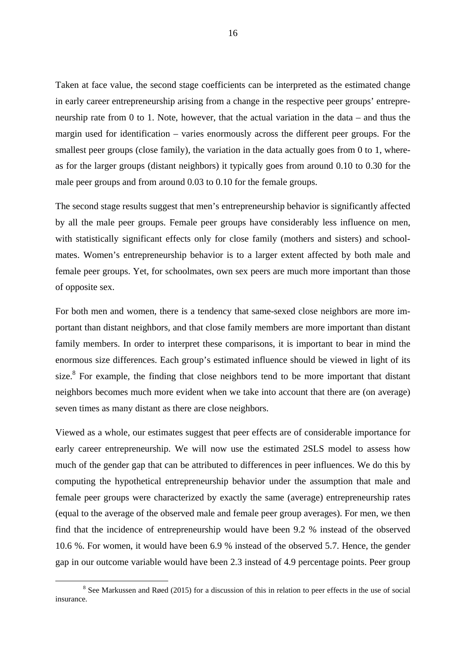Taken at face value, the second stage coefficients can be interpreted as the estimated change in early career entrepreneurship arising from a change in the respective peer groups' entrepreneurship rate from 0 to 1. Note, however, that the actual variation in the data – and thus the margin used for identification – varies enormously across the different peer groups. For the smallest peer groups (close family), the variation in the data actually goes from 0 to 1, whereas for the larger groups (distant neighbors) it typically goes from around 0.10 to 0.30 for the male peer groups and from around 0.03 to 0.10 for the female groups.

The second stage results suggest that men's entrepreneurship behavior is significantly affected by all the male peer groups. Female peer groups have considerably less influence on men, with statistically significant effects only for close family (mothers and sisters) and schoolmates. Women's entrepreneurship behavior is to a larger extent affected by both male and female peer groups. Yet, for schoolmates, own sex peers are much more important than those of opposite sex.

For both men and women, there is a tendency that same-sexed close neighbors are more important than distant neighbors, and that close family members are more important than distant family members. In order to interpret these comparisons, it is important to bear in mind the enormous size differences. Each group's estimated influence should be viewed in light of its size. $8$  For example, the finding that close neighbors tend to be more important that distant neighbors becomes much more evident when we take into account that there are (on average) seven times as many distant as there are close neighbors.

Viewed as a whole, our estimates suggest that peer effects are of considerable importance for early career entrepreneurship. We will now use the estimated 2SLS model to assess how much of the gender gap that can be attributed to differences in peer influences. We do this by computing the hypothetical entrepreneurship behavior under the assumption that male and female peer groups were characterized by exactly the same (average) entrepreneurship rates (equal to the average of the observed male and female peer group averages). For men, we then find that the incidence of entrepreneurship would have been 9.2 % instead of the observed 10.6 %. For women, it would have been 6.9 % instead of the observed 5.7. Hence, the gender gap in our outcome variable would have been 2.3 instead of 4.9 percentage points. Peer group

 $\begin{array}{c|c}\n\hline\n\text{1} & \text{2} & \text{3} \\
\hline\n\text{2} & \text{3} & \text{4}\n\end{array}$  $8$  See Markussen and Røed (2015) for a discussion of this in relation to peer effects in the use of social insurance.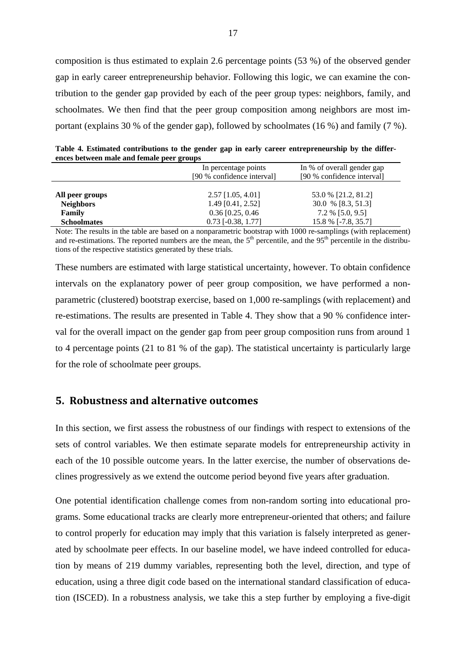composition is thus estimated to explain 2.6 percentage points (53 %) of the observed gender gap in early career entrepreneurship behavior. Following this logic, we can examine the contribution to the gender gap provided by each of the peer group types: neighbors, family, and schoolmates. We then find that the peer group composition among neighbors are most important (explains 30 % of the gender gap), followed by schoolmates (16 %) and family (7 %).

**Table 4. Estimated contributions to the gender gap in early career entrepreneurship by the differences between male and female peer groups** 

|                    | In percentage points<br>[90 % confidence interval] | In % of overall gender gap<br>[90 % confidence interval] |  |  |
|--------------------|----------------------------------------------------|----------------------------------------------------------|--|--|
| All peer groups    | $2.57$ [1.05, 4.01]                                | 53.0 % [21.2, 81.2]                                      |  |  |
| <b>Neighbors</b>   | $1.49$ [0.41, 2.52]                                | 30.0 % [8.3, 51.3]                                       |  |  |
| Family             | $0.36$ [0.25, 0.46]                                | $7.2\%$ [5.0, 9.5]                                       |  |  |
| <b>Schoolmates</b> | $0.73$ [-0.38, 1.77]                               | 15.8 % [-7.8, 35.7]                                      |  |  |
| .                  |                                                    |                                                          |  |  |

Note: The results in the table are based on a nonparametric bootstrap with 1000 re-samplings (with replacement) and re-estimations. The reported numbers are the mean, the  $5<sup>th</sup>$  percentile, and the  $95<sup>th</sup>$  percentile in the distributions of the respective statistics generated by these trials.

These numbers are estimated with large statistical uncertainty, however. To obtain confidence intervals on the explanatory power of peer group composition, we have performed a nonparametric (clustered) bootstrap exercise, based on 1,000 re-samplings (with replacement) and re-estimations. The results are presented in Table 4. They show that a 90 % confidence interval for the overall impact on the gender gap from peer group composition runs from around 1 to 4 percentage points (21 to 81 % of the gap). The statistical uncertainty is particularly large for the role of schoolmate peer groups.

### **5. Robustness and alternative outcomes**

In this section, we first assess the robustness of our findings with respect to extensions of the sets of control variables. We then estimate separate models for entrepreneurship activity in each of the 10 possible outcome years. In the latter exercise, the number of observations declines progressively as we extend the outcome period beyond five years after graduation.

One potential identification challenge comes from non-random sorting into educational programs. Some educational tracks are clearly more entrepreneur-oriented that others; and failure to control properly for education may imply that this variation is falsely interpreted as generated by schoolmate peer effects. In our baseline model, we have indeed controlled for education by means of 219 dummy variables, representing both the level, direction, and type of education, using a three digit code based on the international standard classification of education (ISCED). In a robustness analysis, we take this a step further by employing a five-digit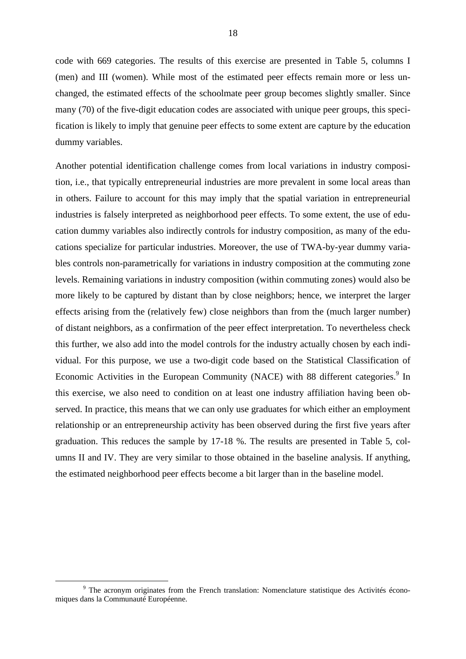code with 669 categories. The results of this exercise are presented in Table 5, columns I (men) and III (women). While most of the estimated peer effects remain more or less unchanged, the estimated effects of the schoolmate peer group becomes slightly smaller. Since many (70) of the five-digit education codes are associated with unique peer groups, this specification is likely to imply that genuine peer effects to some extent are capture by the education dummy variables.

Another potential identification challenge comes from local variations in industry composition, i.e., that typically entrepreneurial industries are more prevalent in some local areas than in others. Failure to account for this may imply that the spatial variation in entrepreneurial industries is falsely interpreted as neighborhood peer effects. To some extent, the use of education dummy variables also indirectly controls for industry composition, as many of the educations specialize for particular industries. Moreover, the use of TWA-by-year dummy variables controls non-parametrically for variations in industry composition at the commuting zone levels. Remaining variations in industry composition (within commuting zones) would also be more likely to be captured by distant than by close neighbors; hence, we interpret the larger effects arising from the (relatively few) close neighbors than from the (much larger number) of distant neighbors, as a confirmation of the peer effect interpretation. To nevertheless check this further, we also add into the model controls for the industry actually chosen by each individual. For this purpose, we use a two-digit code based on the Statistical Classification of Economic Activities in the European Community (NACE) with 88 different categories.<sup>9</sup> In this exercise, we also need to condition on at least one industry affiliation having been observed. In practice, this means that we can only use graduates for which either an employment relationship or an entrepreneurship activity has been observed during the first five years after graduation. This reduces the sample by 17-18 %. The results are presented in Table 5, columns II and IV. They are very similar to those obtained in the baseline analysis. If anything, the estimated neighborhood peer effects become a bit larger than in the baseline model.

 $\frac{1}{\sqrt{9}}$ <sup>9</sup> The acronym originates from the French translation: Nomenclature statistique des Activités économiques dans la Communauté Européenne.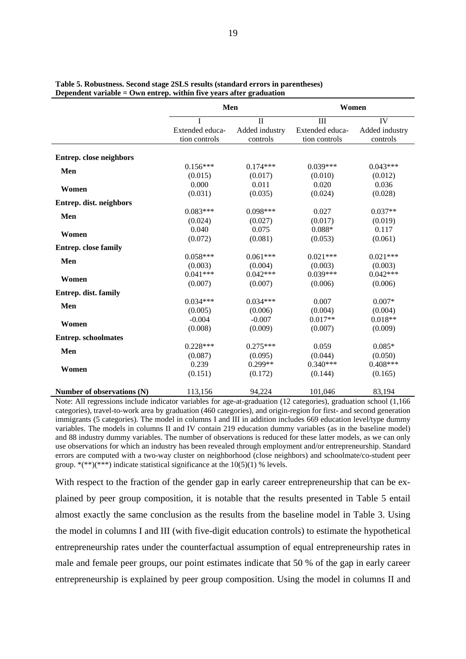|                             | Men                              |                            | Women                            |                            |
|-----------------------------|----------------------------------|----------------------------|----------------------------------|----------------------------|
|                             | $\mathbf I$                      | $\mathbf{I}$               | III                              | IV                         |
|                             | Extended educa-<br>tion controls | Added industry<br>controls | Extended educa-<br>tion controls | Added industry<br>controls |
| Entrep. close neighbors     |                                  |                            |                                  |                            |
|                             | $0.156***$                       | $0.174***$                 | $0.039***$                       | $0.043***$                 |
| Men                         | (0.015)                          | (0.017)                    | (0.010)                          | (0.012)                    |
|                             | 0.000                            | 0.011                      | 0.020                            | 0.036                      |
| Women                       | (0.031)                          | (0.035)                    | (0.024)                          | (0.028)                    |
| Entrep. dist. neighbors     |                                  |                            |                                  |                            |
|                             | $0.083***$                       | $0.098***$                 | 0.027                            | $0.037**$                  |
| Men                         | (0.024)                          | (0.027)                    | (0.017)                          | (0.019)                    |
|                             | 0.040                            | 0.075                      | $0.088*$                         | 0.117                      |
| Women                       | (0.072)                          | (0.081)                    | (0.053)                          | (0.061)                    |
| <b>Entrep.</b> close family |                                  |                            |                                  |                            |
|                             | $0.058***$                       | $0.061***$                 | $0.021***$                       | $0.021***$                 |
| Men                         | (0.003)                          | (0.004)                    | (0.003)                          | (0.003)                    |
|                             | $0.041***$                       | $0.042***$                 | $0.039***$                       | $0.042***$                 |
| Women                       | (0.007)                          | (0.007)                    | (0.006)                          | (0.006)                    |
| Entrep. dist. family        |                                  |                            |                                  |                            |
|                             | $0.034***$                       | $0.034***$                 | 0.007                            | $0.007*$                   |
| Men                         | (0.005)                          | (0.006)                    | (0.004)                          | (0.004)                    |
|                             | $-0.004$                         | $-0.007$                   | $0.017**$                        | $0.018**$                  |
| Women                       | (0.008)                          | (0.009)                    | (0.007)                          | (0.009)                    |
| <b>Entrep.</b> schoolmates  |                                  |                            |                                  |                            |
|                             | $0.228***$                       | $0.275***$                 | 0.059                            | $0.085*$                   |
| Men                         | (0.087)                          | (0.095)                    | (0.044)                          | (0.050)                    |
|                             | 0.239                            | $0.299**$                  | $0.340***$                       | $0.408***$                 |
| Women                       | (0.151)                          | (0.172)                    | (0.144)                          | (0.165)                    |
| Number of observations (N)  | 113,156                          | 94,224                     | 101,046                          | 83,194                     |

#### **Table 5. Robustness. Second stage 2SLS results (standard errors in parentheses) Dependent variable = Own entrep. within five years after graduation**

Note: All regressions include indicator variables for age-at-graduation (12 categories), graduation school (1,166 categories), travel-to-work area by graduation (460 categories), and origin-region for first- and second generation immigrants (5 categories). The model in columns I and III in addition includes 669 education level/type dummy variables. The models in columns II and IV contain 219 education dummy variables (as in the baseline model) and 88 industry dummy variables. The number of observations is reduced for these latter models, as we can only use observations for which an industry has been revealed through employment and/or entrepreneurship. Standard errors are computed with a two-way cluster on neighborhood (close neighbors) and schoolmate/co-student peer group.  $*(**)(***)$  indicate statistical significance at the 10(5)(1) % levels.

With respect to the fraction of the gender gap in early career entrepreneurship that can be explained by peer group composition, it is notable that the results presented in Table 5 entail almost exactly the same conclusion as the results from the baseline model in Table 3. Using the model in columns I and III (with five-digit education controls) to estimate the hypothetical entrepreneurship rates under the counterfactual assumption of equal entrepreneurship rates in male and female peer groups, our point estimates indicate that 50 % of the gap in early career entrepreneurship is explained by peer group composition. Using the model in columns II and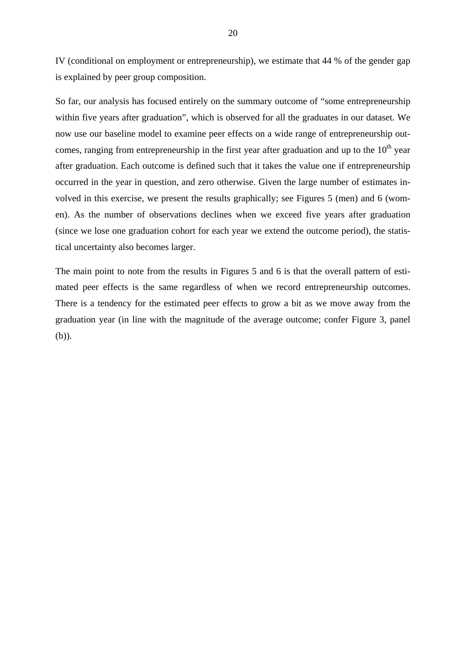IV (conditional on employment or entrepreneurship), we estimate that 44 % of the gender gap is explained by peer group composition.

So far, our analysis has focused entirely on the summary outcome of "some entrepreneurship within five years after graduation", which is observed for all the graduates in our dataset. We now use our baseline model to examine peer effects on a wide range of entrepreneurship outcomes, ranging from entrepreneurship in the first year after graduation and up to the  $10<sup>th</sup>$  year after graduation. Each outcome is defined such that it takes the value one if entrepreneurship occurred in the year in question, and zero otherwise. Given the large number of estimates involved in this exercise, we present the results graphically; see Figures 5 (men) and 6 (women). As the number of observations declines when we exceed five years after graduation (since we lose one graduation cohort for each year we extend the outcome period), the statistical uncertainty also becomes larger.

The main point to note from the results in Figures 5 and 6 is that the overall pattern of estimated peer effects is the same regardless of when we record entrepreneurship outcomes. There is a tendency for the estimated peer effects to grow a bit as we move away from the graduation year (in line with the magnitude of the average outcome; confer Figure 3, panel (b)).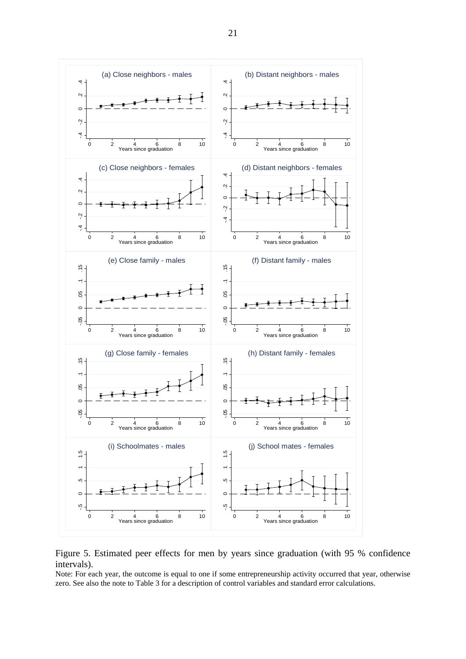

Figure 5. Estimated peer effects for men by years since graduation (with 95 % confidence intervals).

Note: For each year, the outcome is equal to one if some entrepreneurship activity occurred that year, otherwise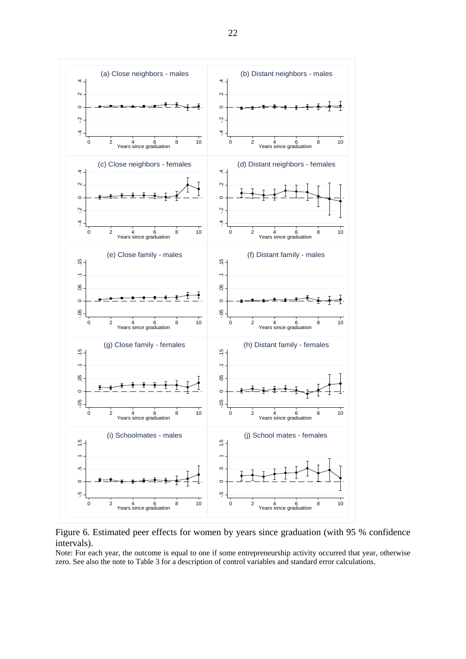![](_page_22_Figure_0.jpeg)

Figure 6. Estimated peer effects for women by years since graduation (with 95 % confidence intervals).

Note: For each year, the outcome is equal to one if some entrepreneurship activity occurred that year, otherwise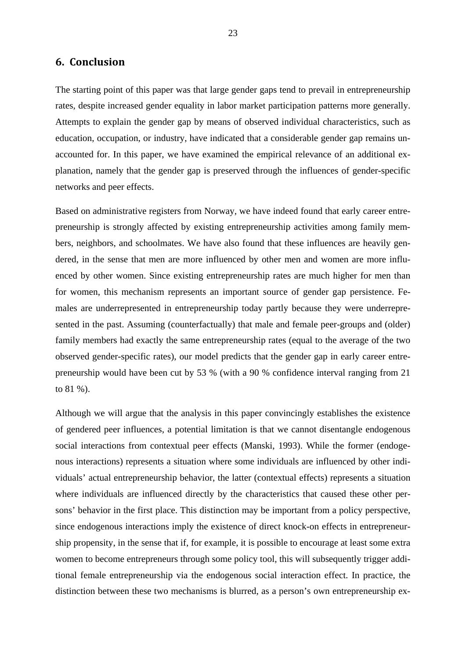### **6. Conclusion**

The starting point of this paper was that large gender gaps tend to prevail in entrepreneurship rates, despite increased gender equality in labor market participation patterns more generally. Attempts to explain the gender gap by means of observed individual characteristics, such as education, occupation, or industry, have indicated that a considerable gender gap remains unaccounted for. In this paper, we have examined the empirical relevance of an additional explanation, namely that the gender gap is preserved through the influences of gender-specific networks and peer effects.

Based on administrative registers from Norway, we have indeed found that early career entrepreneurship is strongly affected by existing entrepreneurship activities among family members, neighbors, and schoolmates. We have also found that these influences are heavily gendered, in the sense that men are more influenced by other men and women are more influenced by other women. Since existing entrepreneurship rates are much higher for men than for women, this mechanism represents an important source of gender gap persistence. Females are underrepresented in entrepreneurship today partly because they were underrepresented in the past. Assuming (counterfactually) that male and female peer-groups and (older) family members had exactly the same entrepreneurship rates (equal to the average of the two observed gender-specific rates), our model predicts that the gender gap in early career entrepreneurship would have been cut by 53 % (with a 90 % confidence interval ranging from 21 to 81 %).

Although we will argue that the analysis in this paper convincingly establishes the existence of gendered peer influences, a potential limitation is that we cannot disentangle endogenous social interactions from contextual peer effects (Manski, 1993). While the former (endogenous interactions) represents a situation where some individuals are influenced by other individuals' actual entrepreneurship behavior, the latter (contextual effects) represents a situation where individuals are influenced directly by the characteristics that caused these other persons' behavior in the first place. This distinction may be important from a policy perspective, since endogenous interactions imply the existence of direct knock-on effects in entrepreneurship propensity, in the sense that if, for example, it is possible to encourage at least some extra women to become entrepreneurs through some policy tool, this will subsequently trigger additional female entrepreneurship via the endogenous social interaction effect. In practice, the distinction between these two mechanisms is blurred, as a person's own entrepreneurship ex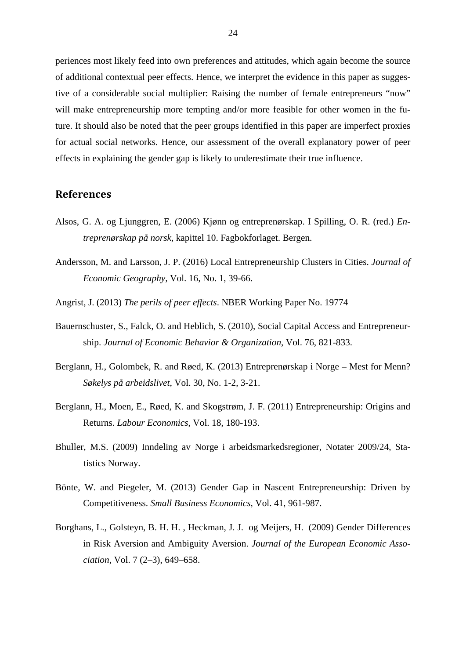periences most likely feed into own preferences and attitudes, which again become the source of additional contextual peer effects. Hence, we interpret the evidence in this paper as suggestive of a considerable social multiplier: Raising the number of female entrepreneurs "now" will make entrepreneurship more tempting and/or more feasible for other women in the future. It should also be noted that the peer groups identified in this paper are imperfect proxies for actual social networks. Hence, our assessment of the overall explanatory power of peer effects in explaining the gender gap is likely to underestimate their true influence.

### **References**

- Alsos, G. A. og Ljunggren, E. (2006) Kjønn og entreprenørskap. I Spilling, O. R. (red.) *Entreprenørskap på norsk*, kapittel 10. Fagbokforlaget. Bergen.
- Andersson, M. and Larsson, J. P. (2016) Local Entrepreneurship Clusters in Cities. *Journal of Economic Geography,* Vol. 16, No. 1, 39-66.
- Angrist, J. (2013) *The perils of peer effects*. NBER Working Paper No. 19774
- Bauernschuster, S., Falck, O. and Heblich, S. (2010), Social Capital Access and Entrepreneurship. *Journal of Economic Behavior & Organization*, Vol. 76, 821-833.
- Berglann, H., Golombek, R. and Røed, K. (2013) Entreprenørskap i Norge Mest for Menn? *Søkelys på arbeidslivet*, Vol. 30, No. 1-2, 3-21.
- Berglann, H., Moen, E., Røed, K. and Skogstrøm, J. F. (2011) Entrepreneurship: Origins and Returns. *Labour Economics*, Vol. 18, 180-193.
- Bhuller, M.S. (2009) Inndeling av Norge i arbeidsmarkedsregioner, Notater 2009/24, Statistics Norway.
- Bönte, W. and Piegeler, M. (2013) Gender Gap in Nascent Entrepreneurship: Driven by Competitiveness. *Small Business Economics,* Vol. 41, 961-987.
- Borghans, L., Golsteyn, B. H. H. , Heckman, J. J. og Meijers, H. (2009) Gender Differences in Risk Aversion and Ambiguity Aversion. *Journal of the European Economic Association*, Vol. 7 (2–3), 649–658.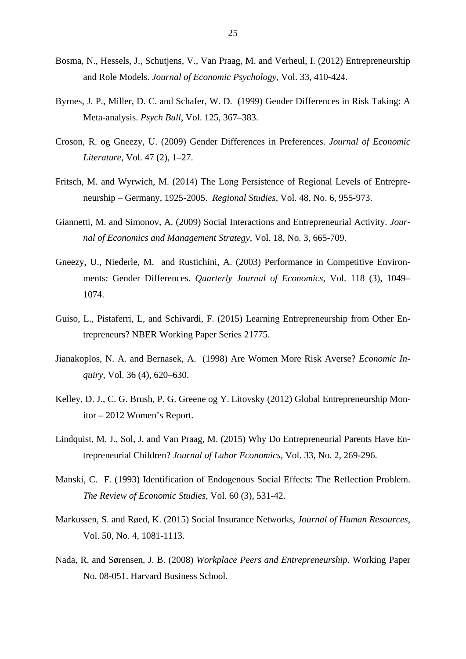- Bosma, N., Hessels, J., Schutjens, V., Van Praag, M. and Verheul, I. (2012) Entrepreneurship and Role Models. *Journal of Economic Psychology*, Vol. 33, 410-424.
- Byrnes, J. P., Miller, D. C. and Schafer, W. D. (1999) Gender Differences in Risk Taking: A Meta-analysis. *Psych Bull*, Vol. 125, 367–383.
- Croson, R. og Gneezy, U. (2009) Gender Differences in Preferences. *Journal of Economic Literature*, Vol. 47 (2), 1–27.
- Fritsch, M. and Wyrwich, M. (2014) The Long Persistence of Regional Levels of Entrepreneurship – Germany, 1925-2005. *Regional Studies*, Vol. 48, No. 6, 955-973.
- Giannetti, M. and Simonov, A. (2009) Social Interactions and Entrepreneurial Activity. *Journal of Economics and Management Strategy,* Vol. 18, No. 3, 665-709.
- Gneezy, U., Niederle, M. and Rustichini, A. (2003) Performance in Competitive Environments: Gender Differences. *Quarterly Journal of Economics*, Vol. 118 (3), 1049– 1074.
- Guiso, L., Pistaferri, L, and Schivardi, F. (2015) Learning Entrepreneurship from Other Entrepreneurs? NBER Working Paper Series 21775.
- Jianakoplos, N. A. and Bernasek, A. (1998) Are Women More Risk Averse? *Economic Inquiry*, Vol. 36 (4), 620–630.
- Kelley, D. J., C. G. Brush, P. G. Greene og Y. Litovsky (2012) Global Entrepreneurship Monitor – 2012 Women's Report.
- Lindquist, M. J., Sol, J. and Van Praag, M. (2015) Why Do Entrepreneurial Parents Have Entrepreneurial Children? *Journal of Labor Economics,* Vol. 33, No. 2, 269-296.
- Manski, C. F. (1993) Identification of Endogenous Social Effects: The Reflection Problem. *The Review of Economic Studies*, Vol. 60 (3), 531-42.
- Markussen, S. and Røed, K. (2015) Social Insurance Networks, *Journal of Human Resources*, Vol. 50, No. 4, 1081-1113.
- Nada, R. and Sørensen, J. B. (2008) *Workplace Peers and Entrepreneurship*. Working Paper No. 08-051. Harvard Business School.